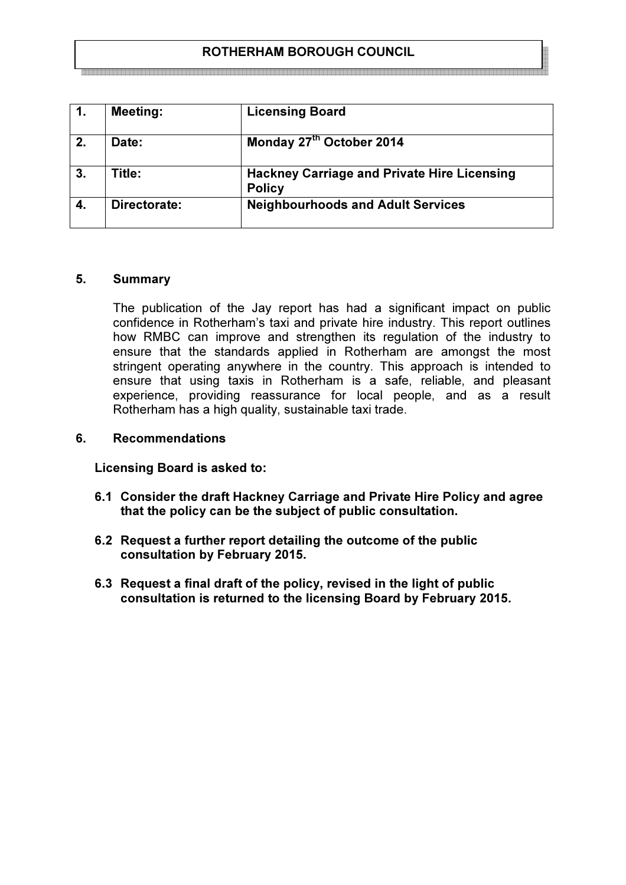# ROTHERHAM BOROUGH COUNCIL

| 1. | <b>Meeting:</b> | <b>Licensing Board</b>                                              |
|----|-----------------|---------------------------------------------------------------------|
| 2. | Date:           | Monday 27th October 2014                                            |
| 3. | Title:          | <b>Hackney Carriage and Private Hire Licensing</b><br><b>Policy</b> |
|    | Directorate:    | <b>Neighbourhoods and Adult Services</b>                            |

### 5. Summary

The publication of the Jay report has had a significant impact on public confidence in Rotherham's taxi and private hire industry. This report outlines how RMBC can improve and strengthen its regulation of the industry to ensure that the standards applied in Rotherham are amongst the most stringent operating anywhere in the country. This approach is intended to ensure that using taxis in Rotherham is a safe, reliable, and pleasant experience, providing reassurance for local people, and as a result Rotherham has a high quality, sustainable taxi trade.

#### 6. Recommendations

Licensing Board is asked to:

- 6.1 Consider the draft Hackney Carriage and Private Hire Policy and agree that the policy can be the subject of public consultation.
- 6.2 Request a further report detailing the outcome of the public consultation by February 2015.
- 6.3 Request a final draft of the policy, revised in the light of public consultation is returned to the licensing Board by February 2015.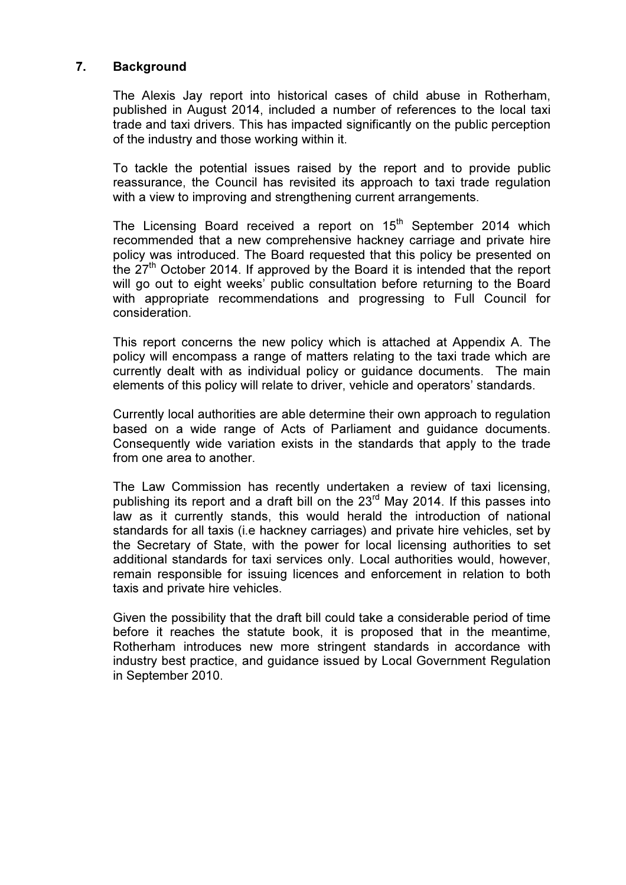## 7. Background

The Alexis Jay report into historical cases of child abuse in Rotherham, published in August 2014, included a number of references to the local taxi trade and taxi drivers. This has impacted significantly on the public perception of the industry and those working within it.

To tackle the potential issues raised by the report and to provide public reassurance, the Council has revisited its approach to taxi trade regulation with a view to improving and strengthening current arrangements.

The Licensing Board received a report on 15<sup>th</sup> September 2014 which recommended that a new comprehensive hackney carriage and private hire policy was introduced. The Board requested that this policy be presented on the  $27<sup>th</sup>$  October 2014. If approved by the Board it is intended that the report will go out to eight weeks' public consultation before returning to the Board with appropriate recommendations and progressing to Full Council for consideration.

This report concerns the new policy which is attached at Appendix A. The policy will encompass a range of matters relating to the taxi trade which are currently dealt with as individual policy or guidance documents. The main elements of this policy will relate to driver, vehicle and operators' standards.

Currently local authorities are able determine their own approach to regulation based on a wide range of Acts of Parliament and guidance documents. Consequently wide variation exists in the standards that apply to the trade from one area to another.

The Law Commission has recently undertaken a review of taxi licensing, publishing its report and a draft bill on the  $23<sup>rd</sup>$  May 2014. If this passes into law as it currently stands, this would herald the introduction of national standards for all taxis (i.e hackney carriages) and private hire vehicles, set by the Secretary of State, with the power for local licensing authorities to set additional standards for taxi services only. Local authorities would, however, remain responsible for issuing licences and enforcement in relation to both taxis and private hire vehicles.

Given the possibility that the draft bill could take a considerable period of time before it reaches the statute book, it is proposed that in the meantime, Rotherham introduces new more stringent standards in accordance with industry best practice, and guidance issued by Local Government Regulation in September 2010.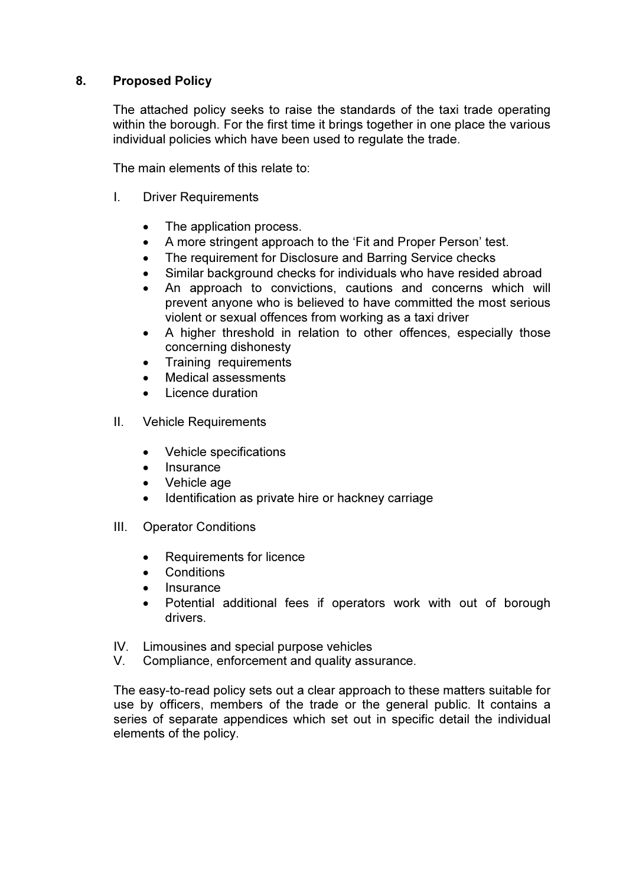# 8. Proposed Policy

The attached policy seeks to raise the standards of the taxi trade operating within the borough. For the first time it brings together in one place the various individual policies which have been used to regulate the trade.

The main elements of this relate to:

- I. Driver Requirements
	- The application process.
	- A more stringent approach to the 'Fit and Proper Person' test.
	- The requirement for Disclosure and Barring Service checks
	- Similar background checks for individuals who have resided abroad
	- An approach to convictions, cautions and concerns which will prevent anyone who is believed to have committed the most serious violent or sexual offences from working as a taxi driver
	- A higher threshold in relation to other offences, especially those concerning dishonesty
	- Training requirements
	- Medical assessments
	- Licence duration
- II. Vehicle Requirements
	- Vehicle specifications
	- Insurance
	- Vehicle age
	- Identification as private hire or hackney carriage
- III. Operator Conditions
	- Requirements for licence
	- Conditions
	- Insurance
	- Potential additional fees if operators work with out of borough drivers.
- IV. Limousines and special purpose vehicles
- V. Compliance, enforcement and quality assurance.

The easy-to-read policy sets out a clear approach to these matters suitable for use by officers, members of the trade or the general public. It contains a series of separate appendices which set out in specific detail the individual elements of the policy.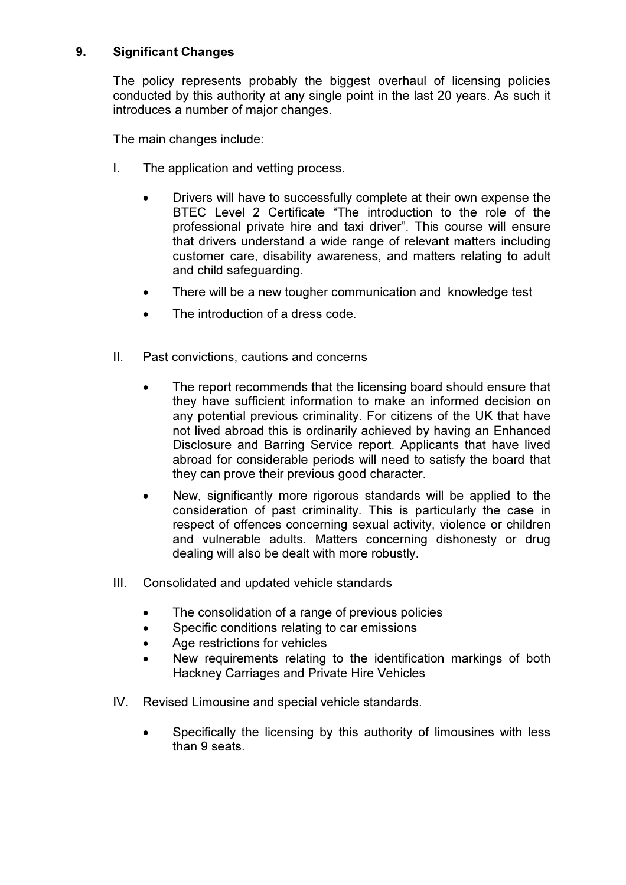# 9. Significant Changes

The policy represents probably the biggest overhaul of licensing policies conducted by this authority at any single point in the last 20 years. As such it introduces a number of major changes.

The main changes include:

- I. The application and vetting process.
	- Drivers will have to successfully complete at their own expense the BTEC Level 2 Certificate "The introduction to the role of the professional private hire and taxi driver". This course will ensure that drivers understand a wide range of relevant matters including customer care, disability awareness, and matters relating to adult and child safeguarding.
	- There will be a new tougher communication and knowledge test
	- The introduction of a dress code.
- II. Past convictions, cautions and concerns
	- The report recommends that the licensing board should ensure that they have sufficient information to make an informed decision on any potential previous criminality. For citizens of the UK that have not lived abroad this is ordinarily achieved by having an Enhanced Disclosure and Barring Service report. Applicants that have lived abroad for considerable periods will need to satisfy the board that they can prove their previous good character.
	- New, significantly more rigorous standards will be applied to the consideration of past criminality. This is particularly the case in respect of offences concerning sexual activity, violence or children and vulnerable adults. Matters concerning dishonesty or drug dealing will also be dealt with more robustly.
- III. Consolidated and updated vehicle standards
	- The consolidation of a range of previous policies
	- Specific conditions relating to car emissions
	- Age restrictions for vehicles
	- New requirements relating to the identification markings of both Hackney Carriages and Private Hire Vehicles
- IV. Revised Limousine and special vehicle standards.
	- Specifically the licensing by this authority of limousines with less than 9 seats.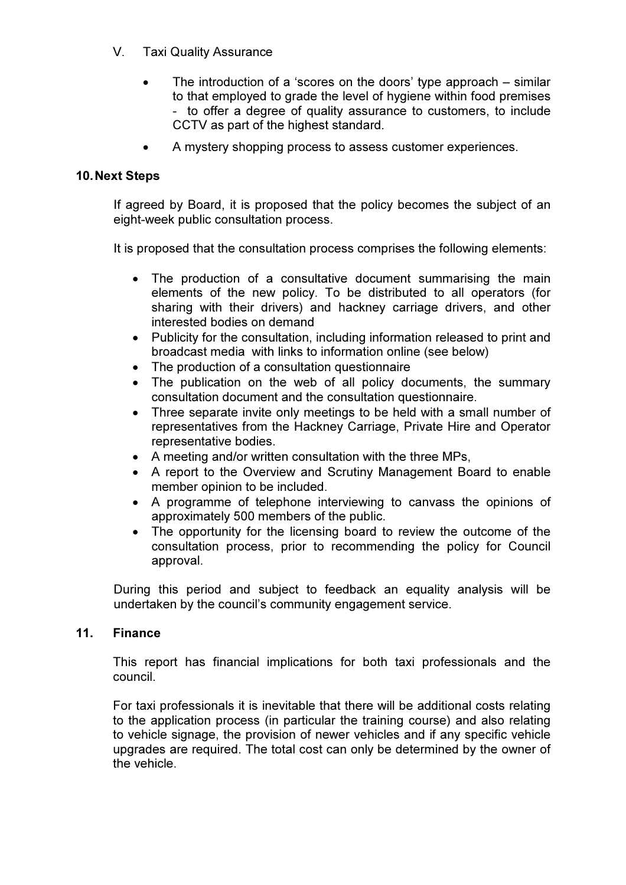- V. Taxi Quality Assurance
	- The introduction of a 'scores on the doors' type approach similar to that employed to grade the level of hygiene within food premises - to offer a degree of quality assurance to customers, to include CCTV as part of the highest standard.
	- A mystery shopping process to assess customer experiences.

## 10. Next Steps

If agreed by Board, it is proposed that the policy becomes the subject of an eight-week public consultation process.

It is proposed that the consultation process comprises the following elements:

- The production of a consultative document summarising the main elements of the new policy. To be distributed to all operators (for sharing with their drivers) and hackney carriage drivers, and other interested bodies on demand
- Publicity for the consultation, including information released to print and broadcast media with links to information online (see below)
- The production of a consultation questionnaire
- The publication on the web of all policy documents, the summary consultation document and the consultation questionnaire.
- Three separate invite only meetings to be held with a small number of representatives from the Hackney Carriage, Private Hire and Operator representative bodies.
- A meeting and/or written consultation with the three MPs,
- A report to the Overview and Scrutiny Management Board to enable member opinion to be included.
- A programme of telephone interviewing to canvass the opinions of approximately 500 members of the public.
- The opportunity for the licensing board to review the outcome of the consultation process, prior to recommending the policy for Council approval.

During this period and subject to feedback an equality analysis will be undertaken by the council's community engagement service.

### 11. Finance

This report has financial implications for both taxi professionals and the council.

For taxi professionals it is inevitable that there will be additional costs relating to the application process (in particular the training course) and also relating to vehicle signage, the provision of newer vehicles and if any specific vehicle upgrades are required. The total cost can only be determined by the owner of the vehicle.